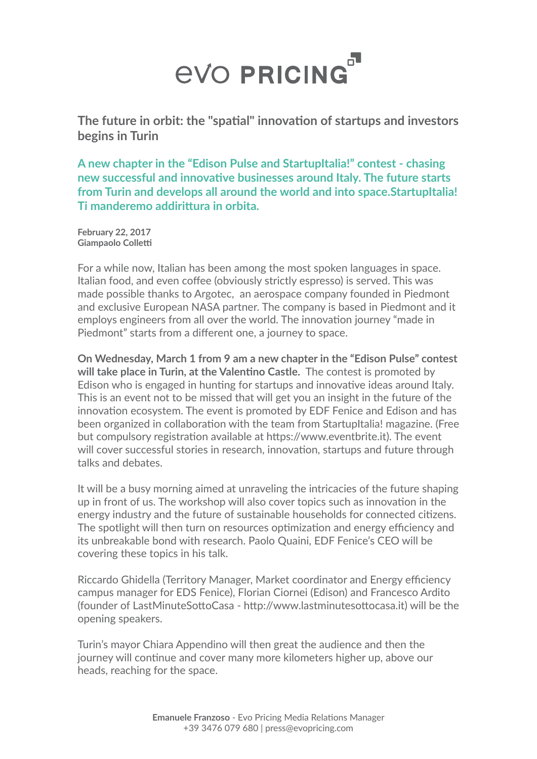## **EVO PRICING**

**The future in orbit: the "spatial" innovation of startups and investors begins in Turin** 

**A new chapter in the "Edison Pulse and StartupItalia!" contest - chasing new successful and innovative businesses around Italy. The future starts from Turin and develops all around the world and into space.StartupItalia! Ti manderemo addirittura in orbita.**

**February 22, 2017 Giampaolo Colletti** 

For a while now, Italian has been among the most spoken languages in space. Italian food, and even coffee (obviously strictly espresso) is served. This was made possible thanks to Argotec, an aerospace company founded in Piedmont and exclusive European NASA partner. The company is based in Piedmont and it employs engineers from all over the world. The innovation journey "made in Piedmont" starts from a different one, a journey to space.

**On Wednesday, March 1 from 9 am a new chapter in the "Edison Pulse" contest will take place in Turin, at the Valentino Castle.** The contest is promoted by Edison who is engaged in hunting for startups and innovative ideas around Italy. This is an event not to be missed that will get you an insight in the future of the innovation ecosystem. The event is promoted by EDF Fenice and Edison and has been organized in collaboration with the team from StartupItalia! magazine. (Free but compulsory registration available at https://www.eventbrite.it). The event will cover successful stories in research, innovation, startups and future through talks and debates.

It will be a busy morning aimed at unraveling the intricacies of the future shaping up in front of us. The workshop will also cover topics such as innovation in the energy industry and the future of sustainable households for connected citizens. The spotlight will then turn on resources optimization and energy efficiency and its unbreakable bond with research. Paolo Quaini, EDF Fenice's CEO will be covering these topics in his talk.

Riccardo Ghidella (Territory Manager, Market coordinator and Energy efficiency campus manager for EDS Fenice), Florian Ciornei (Edison) and Francesco Ardito (founder of LastMinuteSottoCasa - http://www.lastminutesottocasa.it) will be the opening speakers.

Turin's mayor Chiara Appendino will then great the audience and then the journey will continue and cover many more kilometers higher up, above our heads, reaching for the space.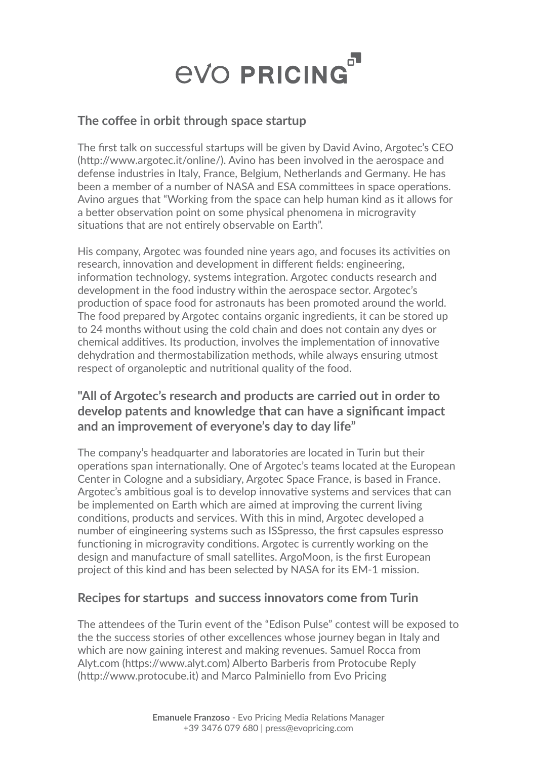

#### **The coffee in orbit through space startup**

The first talk on successful startups will be given by David Avino, Argotec's CEO (http://www.argotec.it/online/). Avino has been involved in the aerospace and defense industries in Italy, France, Belgium, Netherlands and Germany. He has been a member of a number of NASA and ESA committees in space operations. Avino argues that "Working from the space can help human kind as it allows for a better observation point on some physical phenomena in microgravity situations that are not entirely observable on Earth".

His company, Argotec was founded nine years ago, and focuses its activities on research, innovation and development in different fields: engineering, information technology, systems integration. Argotec conducts research and development in the food industry within the aerospace sector. Argotec's production of space food for astronauts has been promoted around the world. The food prepared by Argotec contains organic ingredients, it can be stored up to 24 months without using the cold chain and does not contain any dyes or chemical additives. Its production, involves the implementation of innovative dehydration and thermostabilization methods, while always ensuring utmost respect of organoleptic and nutritional quality of the food.

### **"All of Argotec's research and products are carried out in order to develop patents and knowledge that can have a significant impact and an improvement of everyone's day to day life"**

The company's headquarter and laboratories are located in Turin but their operations span internationally. One of Argotec's teams located at the European Center in Cologne and a subsidiary, Argotec Space France, is based in France. Argotec's ambitious goal is to develop innovative systems and services that can be implemented on Earth which are aimed at improving the current living conditions, products and services. With this in mind, Argotec developed a number of eingineering systems such as ISSpresso, the first capsules espresso functioning in microgravity conditions. Argotec is currently working on the design and manufacture of small satellites. ArgoMoon, is the first European project of this kind and has been selected by NASA for its EM-1 mission.

#### **Recipes for startups and success innovators come from Turin**

The attendees of the Turin event of the "Edison Pulse" contest will be exposed to the the success stories of other excellences whose journey began in Italy and which are now gaining interest and making revenues. Samuel Rocca from Alyt.com (https://www.alyt.com) Alberto Barberis from Protocube Reply (http://www.protocube.it) and Marco Palminiello from Evo Pricing